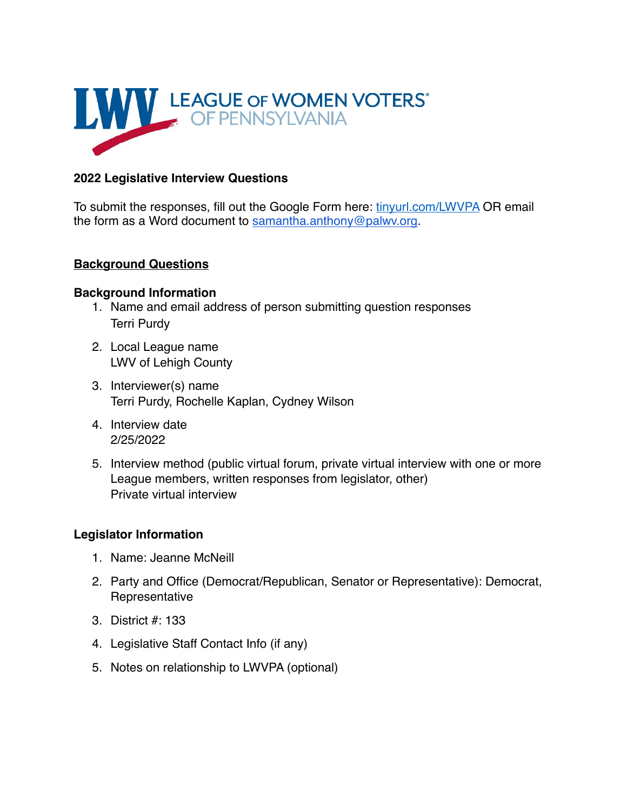

# **2022 Legislative Interview Questions**

To submit the responses, fill out the Google Form here: [tinyurl.com/LWVPA](https://tinyurl.com/LWVPA%2520) OR email the form as a Word document to [samantha.anthony@palwv.org.](mailto:samantha.anthony@palwv.org)

#### **Background Questions**

#### **Background Information**

- 1. Name and email address of person submitting question responses Terri Purdy
- 2. Local League name LWV of Lehigh County
- 3. Interviewer(s) name Terri Purdy, Rochelle Kaplan, Cydney Wilson
- 4. Interview date 2/25/2022
- 5. Interview method (public virtual forum, private virtual interview with one or more League members, written responses from legislator, other) Private virtual interview

#### **Legislator Information**

- 1. Name: Jeanne McNeill
- 2. Party and Office (Democrat/Republican, Senator or Representative): Democrat, Representative
- 3. District #: 133
- 4. Legislative Staff Contact Info (if any)
- 5. Notes on relationship to LWVPA (optional)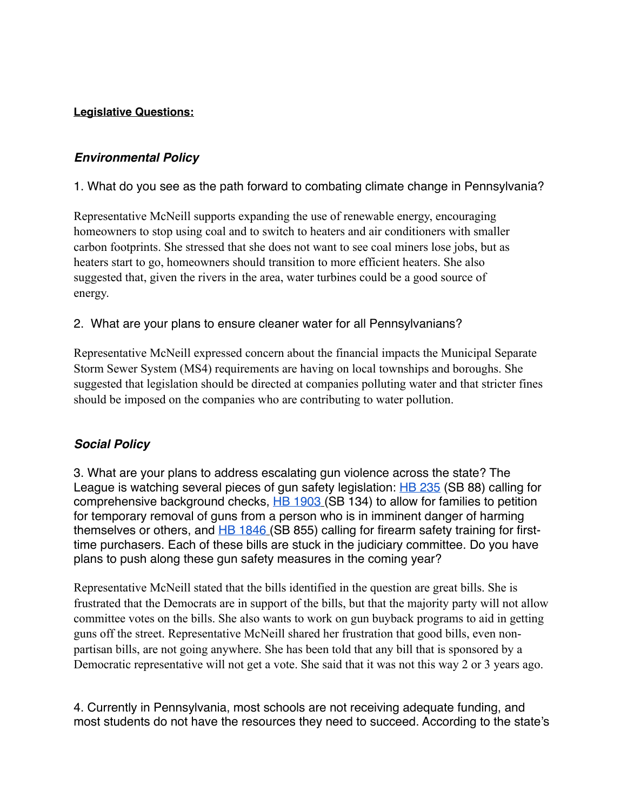### **Legislative Questions:**

# *Environmental Policy*

1. What do you see as the path forward to combating climate change in Pennsylvania?

Representative McNeill supports expanding the use of renewable energy, encouraging homeowners to stop using coal and to switch to heaters and air conditioners with smaller carbon footprints. She stressed that she does not want to see coal miners lose jobs, but as heaters start to go, homeowners should transition to more efficient heaters. She also suggested that, given the rivers in the area, water turbines could be a good source of energy.

# 2. What are your plans to ensure cleaner water for all Pennsylvanians?

Representative McNeill expressed concern about the financial impacts the Municipal Separate Storm Sewer System (MS4) requirements are having on local townships and boroughs. She suggested that legislation should be directed at companies polluting water and that stricter fines should be imposed on the companies who are contributing to water pollution.

#### *Social Policy*

3. What are your plans to address escalating gun violence across the state? The League is watching several pieces of gun safety legislation: **HB 235** (SB 88) calling for comprehensive background checks, [HB 1903](https://www.legis.state.pa.us/cfdocs/billinfo/billinfo.cfm?syear=2021&sind=0&body=H&type=B&bn=1903) (SB 134) to allow for families to petition for temporary removal of guns from a person who is in imminent danger of harming themselves or others, and  $H\rightarrow B46$  (SB 855) calling for firearm safety training for firsttime purchasers. Each of these bills are stuck in the judiciary committee. Do you have plans to push along these gun safety measures in the coming year?

Representative McNeill stated that the bills identified in the question are great bills. She is frustrated that the Democrats are in support of the bills, but that the majority party will not allow committee votes on the bills. She also wants to work on gun buyback programs to aid in getting guns off the street. Representative McNeill shared her frustration that good bills, even nonpartisan bills, are not going anywhere. She has been told that any bill that is sponsored by a Democratic representative will not get a vote. She said that it was not this way 2 or 3 years ago.

4. Currently in Pennsylvania, most schools are not receiving adequate funding, and most students do not have the resources they need to succeed. According to the state's